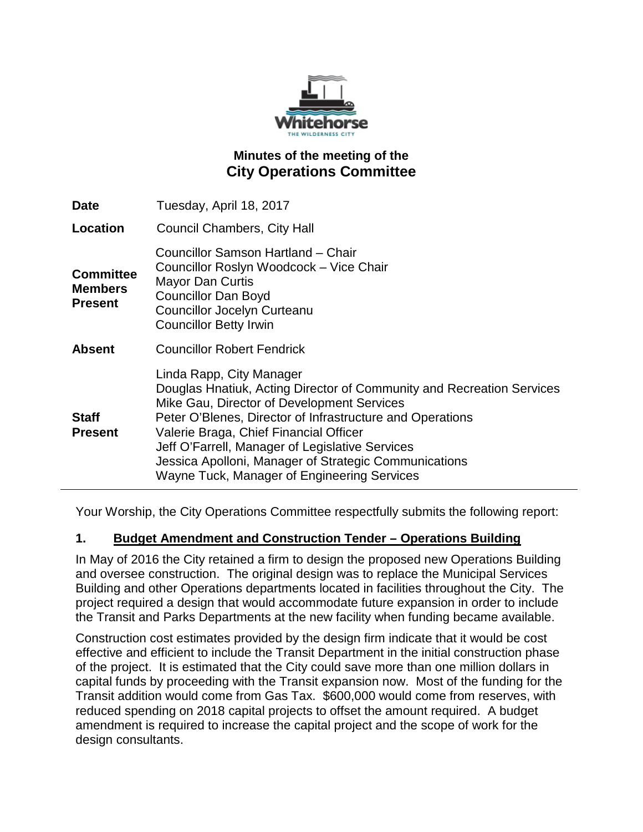

# **Minutes of the meeting of the City Operations Committee**

| Date                                                 | Tuesday, April 18, 2017                                                                                                                                                                                                                                                                                                                                                                                           |
|------------------------------------------------------|-------------------------------------------------------------------------------------------------------------------------------------------------------------------------------------------------------------------------------------------------------------------------------------------------------------------------------------------------------------------------------------------------------------------|
| Location                                             | <b>Council Chambers, City Hall</b>                                                                                                                                                                                                                                                                                                                                                                                |
| <b>Committee</b><br><b>Members</b><br><b>Present</b> | Councillor Samson Hartland - Chair<br>Councillor Roslyn Woodcock - Vice Chair<br><b>Mayor Dan Curtis</b><br><b>Councillor Dan Boyd</b><br>Councillor Jocelyn Curteanu<br><b>Councillor Betty Irwin</b>                                                                                                                                                                                                            |
| <b>Absent</b>                                        | <b>Councillor Robert Fendrick</b>                                                                                                                                                                                                                                                                                                                                                                                 |
| <b>Staff</b><br><b>Present</b>                       | Linda Rapp, City Manager<br>Douglas Hnatiuk, Acting Director of Community and Recreation Services<br>Mike Gau, Director of Development Services<br>Peter O'Blenes, Director of Infrastructure and Operations<br>Valerie Braga, Chief Financial Officer<br>Jeff O'Farrell, Manager of Legislative Services<br>Jessica Apolloni, Manager of Strategic Communications<br>Wayne Tuck, Manager of Engineering Services |

Your Worship, the City Operations Committee respectfully submits the following report:

## **1. Budget Amendment and Construction Tender – Operations Building**

In May of 2016 the City retained a firm to design the proposed new Operations Building and oversee construction. The original design was to replace the Municipal Services Building and other Operations departments located in facilities throughout the City. The project required a design that would accommodate future expansion in order to include the Transit and Parks Departments at the new facility when funding became available.

Construction cost estimates provided by the design firm indicate that it would be cost effective and efficient to include the Transit Department in the initial construction phase of the project. It is estimated that the City could save more than one million dollars in capital funds by proceeding with the Transit expansion now. Most of the funding for the Transit addition would come from Gas Tax. \$600,000 would come from reserves, with reduced spending on 2018 capital projects to offset the amount required. A budget amendment is required to increase the capital project and the scope of work for the design consultants.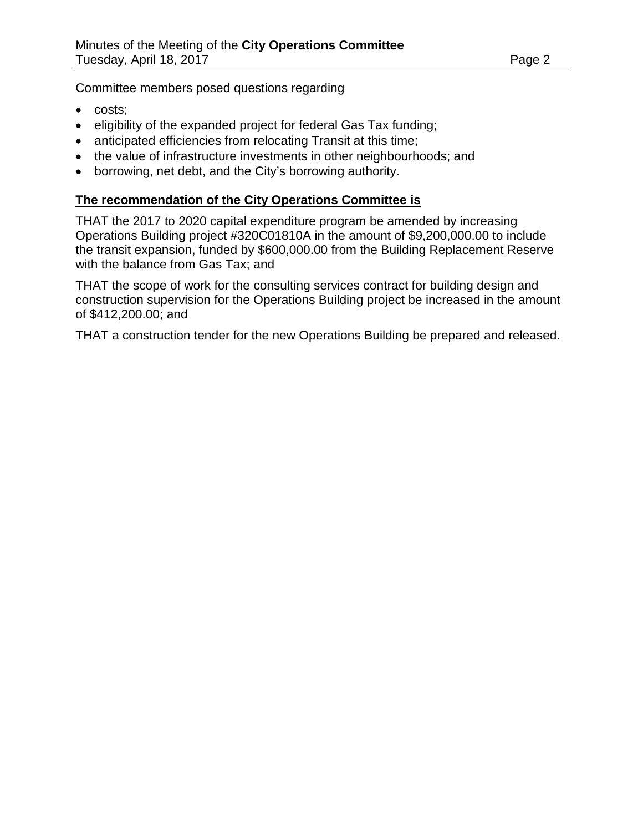Committee members posed questions regarding

- costs;
- eligibility of the expanded project for federal Gas Tax funding;
- anticipated efficiencies from relocating Transit at this time;
- the value of infrastructure investments in other neighbourhoods; and
- borrowing, net debt, and the City's borrowing authority.

#### **The recommendation of the City Operations Committee is**

THAT the 2017 to 2020 capital expenditure program be amended by increasing Operations Building project #320C01810A in the amount of \$9,200,000.00 to include the transit expansion, funded by \$600,000.00 from the Building Replacement Reserve with the balance from Gas Tax; and

THAT the scope of work for the consulting services contract for building design and construction supervision for the Operations Building project be increased in the amount of \$412,200.00; and

THAT a construction tender for the new Operations Building be prepared and released.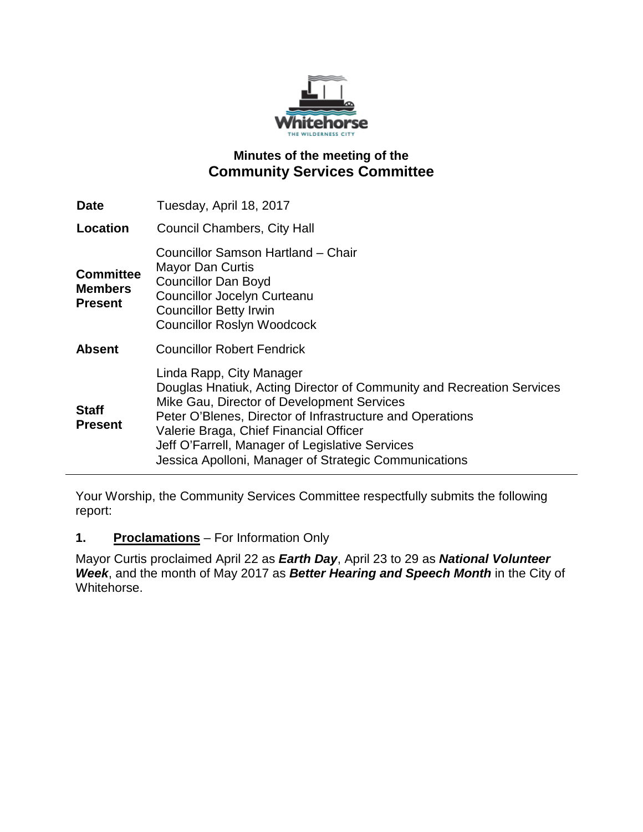

# **Minutes of the meeting of the Community Services Committee**

| <b>Date</b>                                          | Tuesday, April 18, 2017                                                                                                                                                                                                                                                                                                                                            |
|------------------------------------------------------|--------------------------------------------------------------------------------------------------------------------------------------------------------------------------------------------------------------------------------------------------------------------------------------------------------------------------------------------------------------------|
| Location                                             | <b>Council Chambers, City Hall</b>                                                                                                                                                                                                                                                                                                                                 |
| <b>Committee</b><br><b>Members</b><br><b>Present</b> | Councillor Samson Hartland - Chair<br>Mayor Dan Curtis<br><b>Councillor Dan Boyd</b><br><b>Councillor Jocelyn Curteanu</b><br><b>Councillor Betty Irwin</b><br><b>Councillor Roslyn Woodcock</b>                                                                                                                                                                   |
| <b>Absent</b>                                        | <b>Councillor Robert Fendrick</b>                                                                                                                                                                                                                                                                                                                                  |
| <b>Staff</b><br><b>Present</b>                       | Linda Rapp, City Manager<br>Douglas Hnatiuk, Acting Director of Community and Recreation Services<br>Mike Gau, Director of Development Services<br>Peter O'Blenes, Director of Infrastructure and Operations<br>Valerie Braga, Chief Financial Officer<br>Jeff O'Farrell, Manager of Legislative Services<br>Jessica Apolloni, Manager of Strategic Communications |

Your Worship, the Community Services Committee respectfully submits the following report:

#### **1. Proclamations** – For Information Only

Mayor Curtis proclaimed April 22 as *Earth Day*, April 23 to 29 as *National Volunteer Week*, and the month of May 2017 as *Better Hearing and Speech Month* in the City of Whitehorse.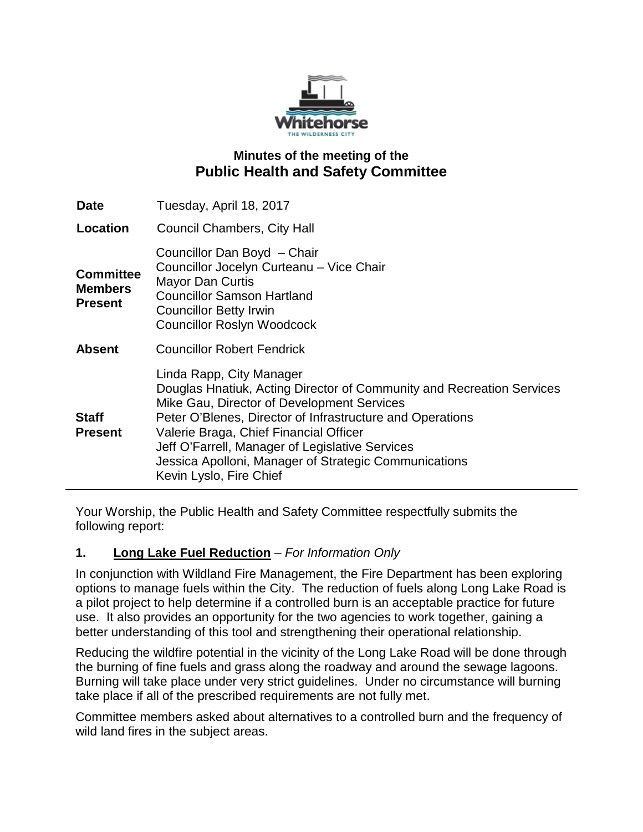

# **Minutes of the meeting of the Public Health and Safety Committee**

| <b>Date</b>                                          | Tuesday, April 18, 2017                                                                                                                                                                                                                                                                                                                                                                       |
|------------------------------------------------------|-----------------------------------------------------------------------------------------------------------------------------------------------------------------------------------------------------------------------------------------------------------------------------------------------------------------------------------------------------------------------------------------------|
| Location                                             | <b>Council Chambers, City Hall</b>                                                                                                                                                                                                                                                                                                                                                            |
| <b>Committee</b><br><b>Members</b><br><b>Present</b> | Councillor Dan Boyd - Chair<br>Councillor Jocelyn Curteanu - Vice Chair<br><b>Mayor Dan Curtis</b><br><b>Councillor Samson Hartland</b><br><b>Councillor Betty Irwin</b><br><b>Councillor Roslyn Woodcock</b>                                                                                                                                                                                 |
| <b>Absent</b>                                        | <b>Councillor Robert Fendrick</b>                                                                                                                                                                                                                                                                                                                                                             |
| <b>Staff</b><br><b>Present</b>                       | Linda Rapp, City Manager<br>Douglas Hnatiuk, Acting Director of Community and Recreation Services<br>Mike Gau, Director of Development Services<br>Peter O'Blenes, Director of Infrastructure and Operations<br>Valerie Braga, Chief Financial Officer<br>Jeff O'Farrell, Manager of Legislative Services<br>Jessica Apolloni, Manager of Strategic Communications<br>Kevin Lyslo, Fire Chief |

Your Worship, the Public Health and Safety Committee respectfully submits the following report:

## **1. Long Lake Fuel Reduction** – *For Information Only*

In conjunction with Wildland Fire Management, the Fire Department has been exploring options to manage fuels within the City. The reduction of fuels along Long Lake Road is a pilot project to help determine if a controlled burn is an acceptable practice for future use. It also provides an opportunity for the two agencies to work together, gaining a better understanding of this tool and strengthening their operational relationship.

Reducing the wildfire potential in the vicinity of the Long Lake Road will be done through the burning of fine fuels and grass along the roadway and around the sewage lagoons. Burning will take place under very strict guidelines. Under no circumstance will burning take place if all of the prescribed requirements are not fully met.

Committee members asked about alternatives to a controlled burn and the frequency of wild land fires in the subject areas.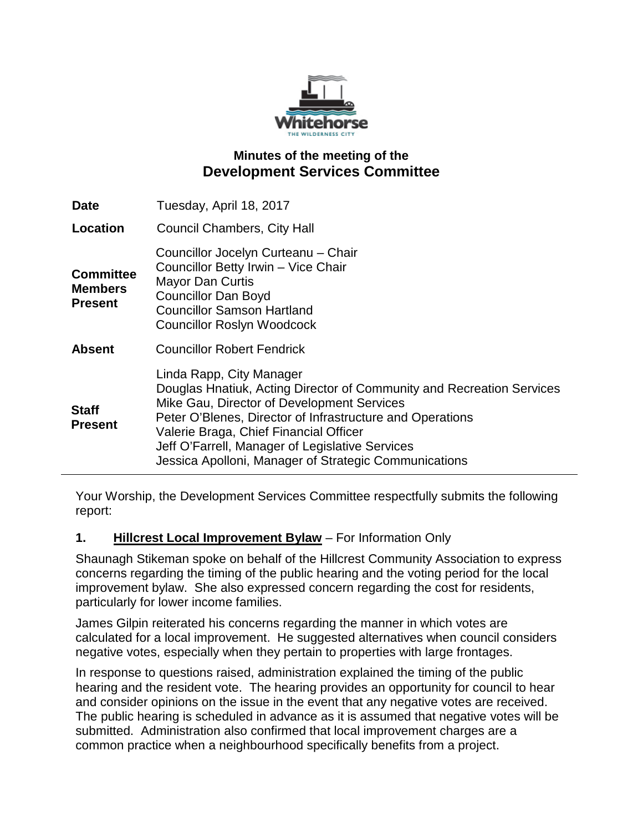

# **Minutes of the meeting of the Development Services Committee**

| <b>Date</b>                                          | Tuesday, April 18, 2017                                                                                                                                                                                                                                                                                                                                            |
|------------------------------------------------------|--------------------------------------------------------------------------------------------------------------------------------------------------------------------------------------------------------------------------------------------------------------------------------------------------------------------------------------------------------------------|
| Location                                             | <b>Council Chambers, City Hall</b>                                                                                                                                                                                                                                                                                                                                 |
| <b>Committee</b><br><b>Members</b><br><b>Present</b> | Councillor Jocelyn Curteanu - Chair<br>Councillor Betty Irwin - Vice Chair<br><b>Mayor Dan Curtis</b><br><b>Councillor Dan Boyd</b><br><b>Councillor Samson Hartland</b><br><b>Councillor Roslyn Woodcock</b>                                                                                                                                                      |
| <b>Absent</b>                                        | <b>Councillor Robert Fendrick</b>                                                                                                                                                                                                                                                                                                                                  |
| <b>Staff</b><br><b>Present</b>                       | Linda Rapp, City Manager<br>Douglas Hnatiuk, Acting Director of Community and Recreation Services<br>Mike Gau, Director of Development Services<br>Peter O'Blenes, Director of Infrastructure and Operations<br>Valerie Braga, Chief Financial Officer<br>Jeff O'Farrell, Manager of Legislative Services<br>Jessica Apolloni, Manager of Strategic Communications |

Your Worship, the Development Services Committee respectfully submits the following report:

## **1. Hillcrest Local Improvement Bylaw** – For Information Only

Shaunagh Stikeman spoke on behalf of the Hillcrest Community Association to express concerns regarding the timing of the public hearing and the voting period for the local improvement bylaw. She also expressed concern regarding the cost for residents, particularly for lower income families.

James Gilpin reiterated his concerns regarding the manner in which votes are calculated for a local improvement. He suggested alternatives when council considers negative votes, especially when they pertain to properties with large frontages.

In response to questions raised, administration explained the timing of the public hearing and the resident vote. The hearing provides an opportunity for council to hear and consider opinions on the issue in the event that any negative votes are received. The public hearing is scheduled in advance as it is assumed that negative votes will be submitted. Administration also confirmed that local improvement charges are a common practice when a neighbourhood specifically benefits from a project.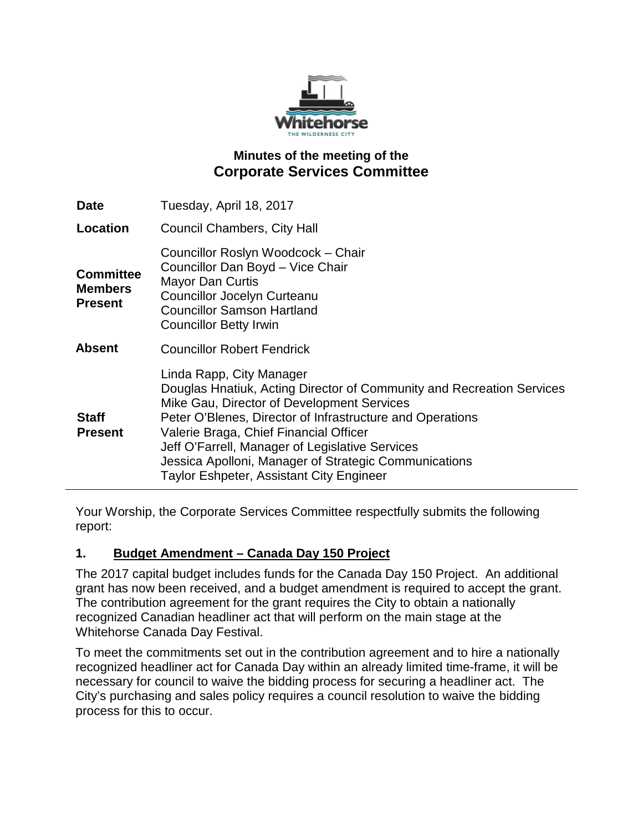

# **Minutes of the meeting of the Corporate Services Committee**

| <b>Date</b>                                          | Tuesday, April 18, 2017                                                                                                                                                                                                                                                                                                                                                                                               |
|------------------------------------------------------|-----------------------------------------------------------------------------------------------------------------------------------------------------------------------------------------------------------------------------------------------------------------------------------------------------------------------------------------------------------------------------------------------------------------------|
| Location                                             | <b>Council Chambers, City Hall</b>                                                                                                                                                                                                                                                                                                                                                                                    |
| <b>Committee</b><br><b>Members</b><br><b>Present</b> | Councillor Roslyn Woodcock - Chair<br>Councillor Dan Boyd - Vice Chair<br><b>Mayor Dan Curtis</b><br>Councillor Jocelyn Curteanu<br><b>Councillor Samson Hartland</b><br><b>Councillor Betty Irwin</b>                                                                                                                                                                                                                |
| <b>Absent</b>                                        | <b>Councillor Robert Fendrick</b>                                                                                                                                                                                                                                                                                                                                                                                     |
| <b>Staff</b><br><b>Present</b>                       | Linda Rapp, City Manager<br>Douglas Hnatiuk, Acting Director of Community and Recreation Services<br>Mike Gau, Director of Development Services<br>Peter O'Blenes, Director of Infrastructure and Operations<br>Valerie Braga, Chief Financial Officer<br>Jeff O'Farrell, Manager of Legislative Services<br>Jessica Apolloni, Manager of Strategic Communications<br><b>Taylor Eshpeter, Assistant City Engineer</b> |

Your Worship, the Corporate Services Committee respectfully submits the following report:

## **1. Budget Amendment – Canada Day 150 Project**

The 2017 capital budget includes funds for the Canada Day 150 Project. An additional grant has now been received, and a budget amendment is required to accept the grant. The contribution agreement for the grant requires the City to obtain a nationally recognized Canadian headliner act that will perform on the main stage at the Whitehorse Canada Day Festival.

To meet the commitments set out in the contribution agreement and to hire a nationally recognized headliner act for Canada Day within an already limited time-frame, it will be necessary for council to waive the bidding process for securing a headliner act. The City's purchasing and sales policy requires a council resolution to waive the bidding process for this to occur.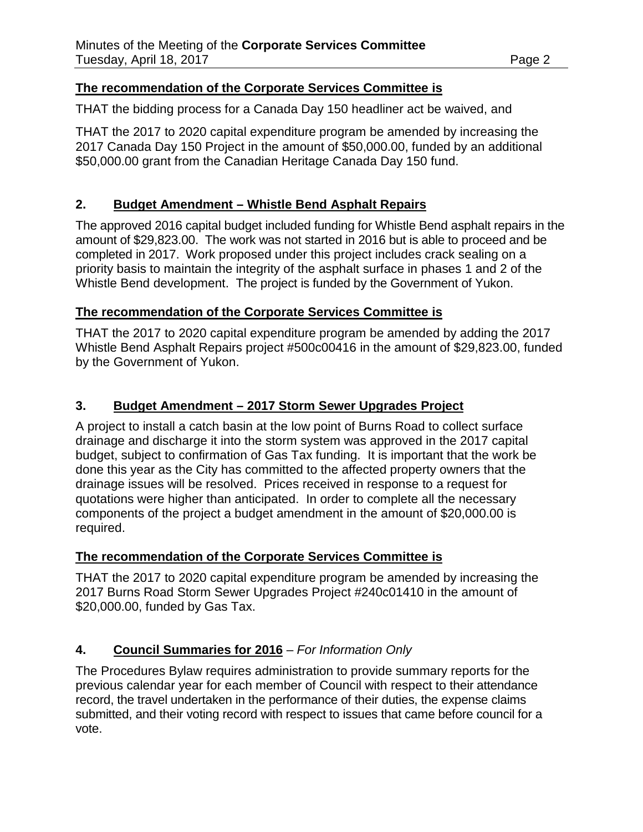#### **The recommendation of the Corporate Services Committee is**

THAT the bidding process for a Canada Day 150 headliner act be waived, and

THAT the 2017 to 2020 capital expenditure program be amended by increasing the 2017 Canada Day 150 Project in the amount of \$50,000.00, funded by an additional \$50,000.00 grant from the Canadian Heritage Canada Day 150 fund.

## **2. Budget Amendment – Whistle Bend Asphalt Repairs**

The approved 2016 capital budget included funding for Whistle Bend asphalt repairs in the amount of \$29,823.00. The work was not started in 2016 but is able to proceed and be completed in 2017. Work proposed under this project includes crack sealing on a priority basis to maintain the integrity of the asphalt surface in phases 1 and 2 of the Whistle Bend development. The project is funded by the Government of Yukon.

#### **The recommendation of the Corporate Services Committee is**

THAT the 2017 to 2020 capital expenditure program be amended by adding the 2017 Whistle Bend Asphalt Repairs project #500c00416 in the amount of \$29,823.00, funded by the Government of Yukon.

#### **3. Budget Amendment – 2017 Storm Sewer Upgrades Project**

A project to install a catch basin at the low point of Burns Road to collect surface drainage and discharge it into the storm system was approved in the 2017 capital budget, subject to confirmation of Gas Tax funding. It is important that the work be done this year as the City has committed to the affected property owners that the drainage issues will be resolved. Prices received in response to a request for quotations were higher than anticipated. In order to complete all the necessary components of the project a budget amendment in the amount of \$20,000.00 is required.

#### **The recommendation of the Corporate Services Committee is**

THAT the 2017 to 2020 capital expenditure program be amended by increasing the 2017 Burns Road Storm Sewer Upgrades Project #240c01410 in the amount of \$20,000.00, funded by Gas Tax.

## **4. Council Summaries for 2016** – *For Information Only*

The Procedures Bylaw requires administration to provide summary reports for the previous calendar year for each member of Council with respect to their attendance record, the travel undertaken in the performance of their duties, the expense claims submitted, and their voting record with respect to issues that came before council for a vote.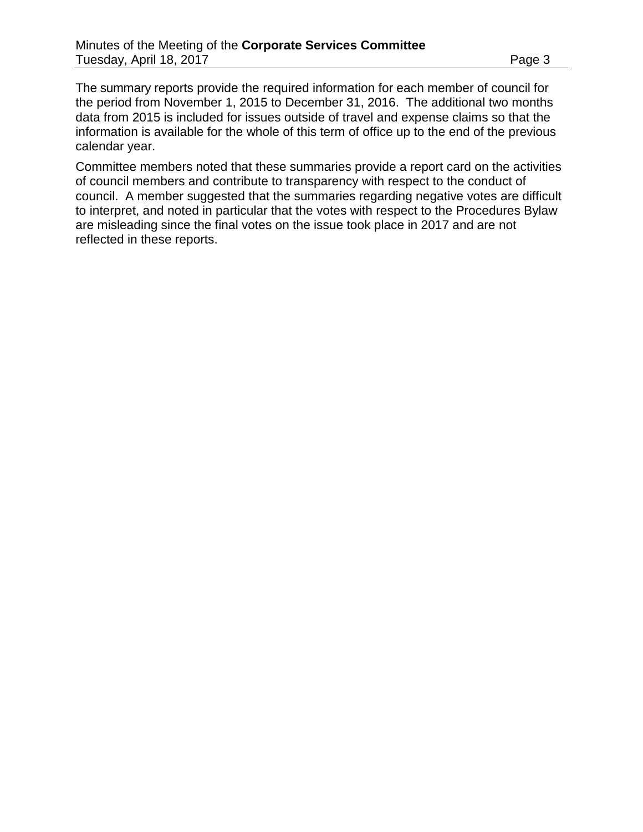The summary reports provide the required information for each member of council for the period from November 1, 2015 to December 31, 2016. The additional two months data from 2015 is included for issues outside of travel and expense claims so that the information is available for the whole of this term of office up to the end of the previous calendar year.

Committee members noted that these summaries provide a report card on the activities of council members and contribute to transparency with respect to the conduct of council. A member suggested that the summaries regarding negative votes are difficult to interpret, and noted in particular that the votes with respect to the Procedures Bylaw are misleading since the final votes on the issue took place in 2017 and are not reflected in these reports.